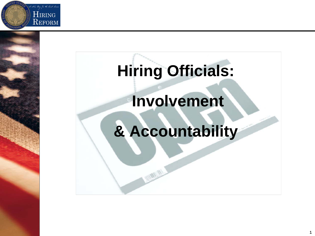

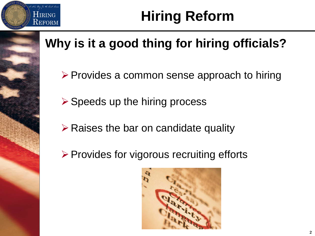

## **Hiring Reform**

#### **Why is it a good thing for hiring officials?**

- $\triangleright$  Provides a common sense approach to hiring
- $\triangleright$  Speeds up the hiring process
- $\triangleright$  Raises the bar on candidate quality
- $\triangleright$  Provides for vigorous recruiting efforts

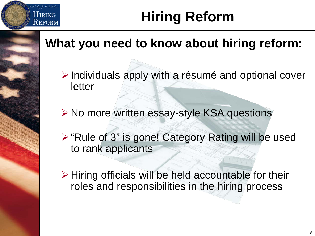

## **Hiring Reform**

#### **What you need to know about hiring reform:**

- $\triangleright$  Individuals apply with a résumé and optional cover letter
- **≻ No more written essay-style KSA questions**
- ▶ "Rule of 3" is gone! Category Rating will be used to rank applicants
- $\triangleright$  Hiring officials will be held accountable for their roles and responsibilities in the hiring process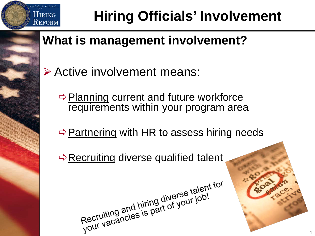

# **Hiring Officials' Involvement**

#### **What is management involvement?**

- Active involvement means:
	- $\Rightarrow$  Planning current and future workforce requirements within your program area
	- $\Rightarrow$  Partnering with HR to assess hiring needs
	- $\Rightarrow$  Recruiting diverse qualified talent

Recruiting and hiring diverse talent for<br>Recruiting and hiring diverse talent for<br>your vacancies is part of your job!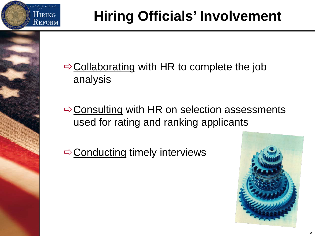

## **Hiring Officials' Involvement**

 $\Rightarrow$  Collaborating with HR to complete the job analysis

 $\Rightarrow$  Consulting with HR on selection assessments used for rating and ranking applicants

 $\Rightarrow$  Conducting timely interviews

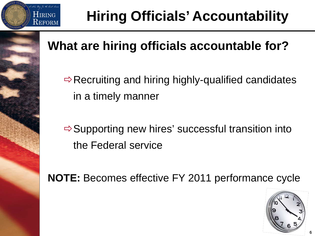

## **Hiring Officials' Accountability**

#### **What are hiring officials accountable for?**

 $\Rightarrow$  Recruiting and hiring highly-qualified candidates in a timely manner

 $\Rightarrow$  Supporting new hires' successful transition into the Federal service

**NOTE:** Becomes effective FY 2011 performance cycle

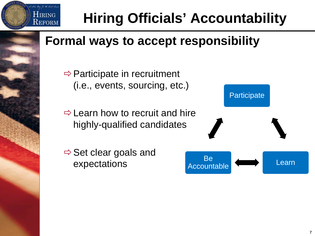

#### **Formal ways to accept responsibility**

 $\Rightarrow$  Participate in recruitment (i.e., events, sourcing, etc.)

 $\Rightarrow$  Learn how to recruit and hire highly-qualified candidates

 $\Rightarrow$  Set clear goals and expectations

New Dow To the Court **HIRING**  ${\rm R}_{\rm EFORM}$ 

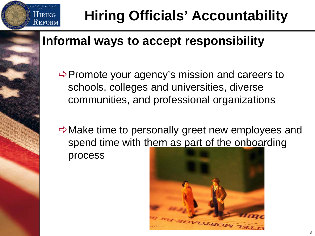

# **Hiring Officials' Accountability**

#### **Informal ways to accept responsibility**

 $\Rightarrow$  Promote your agency's mission and careers to schools, colleges and universities, diverse communities, and professional organizations

 $\Rightarrow$  Make time to personally greet new employees and spend time with them as part of the onboarding process

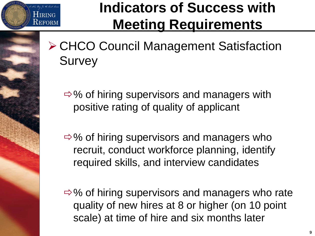

### **Indicators of Success with Meeting Requirements**

- ▶ CHCO Council Management Satisfaction **Survey** 
	- $\Rightarrow$ % of hiring supervisors and managers with positive rating of quality of applicant
	- $\Rightarrow$ % of hiring supervisors and managers who recruit, conduct workforce planning, identify required skills, and interview candidates

 $\Rightarrow$ % of hiring supervisors and managers who rate quality of new hires at 8 or higher (on 10 point scale) at time of hire and six months later